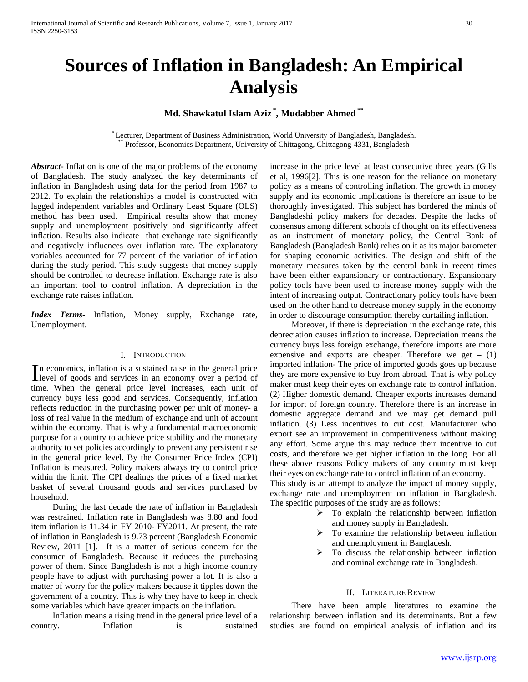# **Sources of Inflation in Bangladesh: An Empirical Analysis**

# **Md. Shawkatul Islam Aziz \* , Mudabber Ahmed \*\***

\* Lecturer, Department of Business Administration, World University of Bangladesh, Bangladesh. \*\* Professor, Economics Department, University of Chittagong, Chittagong-4331, Bangladesh

*Abstract***-** Inflation is one of the major problems of the economy of Bangladesh. The study analyzed the key determinants of inflation in Bangladesh using data for the period from 1987 to 2012. To explain the relationships a model is constructed with lagged independent variables and Ordinary Least Square (OLS) method has been used. Empirical results show that money supply and unemployment positively and significantly affect inflation. Results also indicate that exchange rate significantly and negatively influences over inflation rate. The explanatory variables accounted for 77 percent of the variation of inflation during the study period. This study suggests that money supply should be controlled to decrease inflation. Exchange rate is also an important tool to control inflation. A depreciation in the exchange rate raises inflation.

*Index Terms*- Inflation, Money supply, Exchange rate, Unemployment.

### I. INTRODUCTION

n economics, inflation is a sustained raise in the general price In economics, inflation is a sustained raise in the general price<br>level of goods and services in an economy over a period of time. When the general price level increases, each unit of currency buys less good and services. Consequently, inflation reflects reduction in the purchasing power per unit of money- a loss of real value in the medium of exchange and unit of account within the economy. That is why a fundamental macroeconomic purpose for a country to achieve price stability and the monetary authority to set policies accordingly to prevent any persistent rise in the general price level. By the Consumer Price Index (CPI) Inflation is measured. Policy makers always try to control price within the limit. The CPI dealings the prices of a fixed market basket of several thousand goods and services purchased by household.

 During the last decade the rate of inflation in Bangladesh was restrained. Inflation rate in Bangladesh was 8.80 and food item inflation is 11.34 in FY 2010- FY2011. At present, the rate of inflation in Bangladesh is 9.73 percent (Bangladesh Economic Review, 2011 [1]. It is a matter of serious concern for the consumer of Bangladesh. Because it reduces the purchasing power of them. Since Bangladesh is not a high income country people have to adjust with purchasing power a lot. It is also a matter of worry for the policy makers because it tipples down the government of a country. This is why they have to keep in check some variables which have greater impacts on the inflation.

 Inflation means a rising trend in the general price level of a country. Inflation is sustained

increase in the price level at least consecutive three years (Gills et al, 1996[2]. This is one reason for the reliance on monetary policy as a means of controlling inflation. The growth in money supply and its economic implications is therefore an issue to be thoroughly investigated. This subject has bordered the minds of Bangladeshi policy makers for decades. Despite the lacks of consensus among different schools of thought on its effectiveness as an instrument of monetary policy, the Central Bank of Bangladesh (Bangladesh Bank) relies on it as its major barometer for shaping economic activities. The design and shift of the monetary measures taken by the central bank in recent times have been either expansionary or contractionary. Expansionary policy tools have been used to increase money supply with the intent of increasing output. Contractionary policy tools have been used on the other hand to decrease money supply in the economy in order to discourage consumption thereby curtailing inflation.

 Moreover, if there is depreciation in the exchange rate, this depreciation causes inflation to increase. Depreciation means the currency buys less foreign exchange, therefore imports are more expensive and exports are cheaper. Therefore we get  $-$  (1) imported inflation- The price of imported goods goes up because they are more expensive to buy from abroad. That is why policy maker must keep their eyes on exchange rate to control inflation. (2) Higher domestic demand. Cheaper exports increases demand for import of foreign country. Therefore there is an increase in domestic aggregate demand and we may get demand pull inflation. (3) Less incentives to cut cost. Manufacturer who export see an improvement in competitiveness without making any effort. Some argue this may reduce their incentive to cut costs, and therefore we get higher inflation in the long. For all these above reasons Policy makers of any country must keep their eyes on exchange rate to control inflation of an economy. This study is an attempt to analyze the impact of money supply, exchange rate and unemployment on inflation in Bangladesh.

- The specific purposes of the study are as follows:  $\triangleright$  To explain the relationship between inflation and money supply in Bangladesh.
	- $\triangleright$  To examine the relationship between inflation and unemployment in Bangladesh.
	- $\triangleright$  To discuss the relationship between inflation and nominal exchange rate in Bangladesh.

### II. LITERATURE REVIEW

 There have been ample literatures to examine the relationship between inflation and its determinants. But a few studies are found on empirical analysis of inflation and its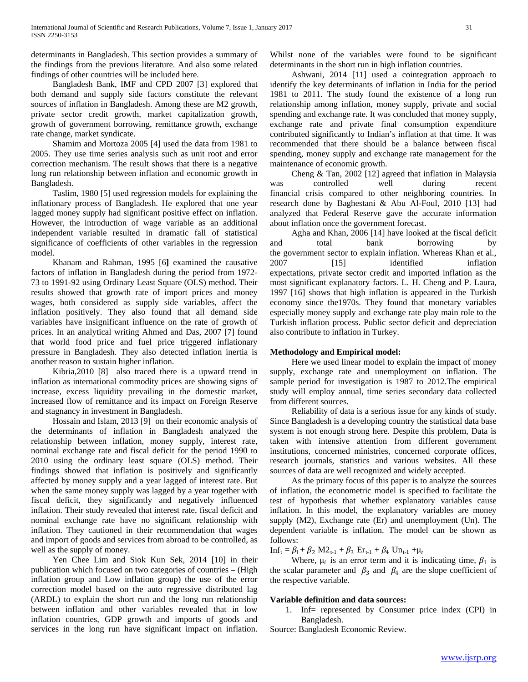determinants in Bangladesh. This section provides a summary of the findings from the previous literature. And also some related findings of other countries will be included here.

 Bangladesh Bank, IMF and CPD 2007 [3] explored that both demand and supply side factors constitute the relevant sources of inflation in Bangladesh. Among these are M2 growth, private sector credit growth, market capitalization growth, growth of government borrowing, remittance growth, exchange rate change, market syndicate.

 Shamim and Mortoza 2005 [4] used the data from 1981 to 2005. They use time series analysis such as unit root and error correction mechanism. The result shows that there is a negative long run relationship between inflation and economic growth in Bangladesh.

 Taslim, 1980 [5] used regression models for explaining the inflationary process of Bangladesh. He explored that one year lagged money supply had significant positive effect on inflation. However, the introduction of wage variable as an additional independent variable resulted in dramatic fall of statistical significance of coefficients of other variables in the regression model.

 Khanam and Rahman, 1995 [6**]** examined the causative factors of inflation in Bangladesh during the period from 1972- 73 to 1991-92 using Ordinary Least Square (OLS) method. Their results showed that growth rate of import prices and money wages, both considered as supply side variables, affect the inflation positively. They also found that all demand side variables have insignificant influence on the rate of growth of prices. In an analytical writing Ahmed and Das, 2007 [7] found that world food price and fuel price triggered inflationary pressure in Bangladesh. They also detected inflation inertia is another reason to sustain higher inflation.

 Kibria,2010 [8] also traced there is a upward trend in inflation as international commodity prices are showing signs of increase, excess liquidity prevailing in the domestic market, increased flow of remittance and its impact on Foreign Reserve and stagnancy in investment in Bangladesh.

 Hossain and Islam, 2013 [9] on their economic analysis of the determinants of inflation in Bangladesh analyzed the relationship between inflation, money supply, interest rate, nominal exchange rate and fiscal deficit for the period 1990 to 2010 using the ordinary least square (OLS) method. Their findings showed that inflation is positively and significantly affected by money supply and a year lagged of interest rate. But when the same money supply was lagged by a year together with fiscal deficit, they significantly and negatively influenced inflation. Their study revealed that interest rate, fiscal deficit and nominal exchange rate have no significant relationship with inflation. They cautioned in their recommendation that wages and import of goods and services from abroad to be controlled, as well as the supply of money.

 Yen Chee Lim and Siok Kun Sek, 2014 [10] in their publication which focused on two categories of countries – (High inflation group and Low inflation group) the use of the error correction model based on the auto regressive distributed lag (ARDL) to explain the short run and the long run relationship between inflation and other variables revealed that in low inflation countries, GDP growth and imports of goods and services in the long run have significant impact on inflation.

Whilst none of the variables were found to be significant determinants in the short run in high inflation countries.

 Ashwani, 2014 [11] used a cointegration approach to identify the key determinants of inflation in India for the period 1981 to 2011. The study found the existence of a long run relationship among inflation, money supply, private and social spending and exchange rate. It was concluded that money supply, exchange rate and private final consumption expenditure contributed significantly to Indian's inflation at that time. It was recommended that there should be a balance between fiscal spending, money supply and exchange rate management for the maintenance of economic growth.

 Cheng & Tan, 2002 [12] agreed that inflation in Malaysia was controlled well during recent financial crisis compared to other neighboring countries. In research done by Baghestani & Abu Al-Foul, 2010 [13] had analyzed that Federal Reserve gave the accurate information about inflation once the government forecast.

 Agha and Khan, 2006 [14] have looked at the fiscal deficit and total bank borrowing by the government sector to explain inflation. Whereas Khan et al., 2007 [15] identified inflation expectations, private sector credit and imported inflation as the most significant explanatory factors. L. H. Cheng and P. Laura, 1997 [16] shows that high inflation is appeared in the Turkish economy since the1970s. They found that monetary variables especially money supply and exchange rate play main role to the Turkish inflation process. Public sector deficit and depreciation also contribute to inflation in Turkey.

### **Methodology and Empirical model:**

 Here we used linear model to explain the impact of money supply, exchange rate and unemployment on inflation. The sample period for investigation is 1987 to 2012.The empirical study will employ annual, time series secondary data collected from different sources.

 Reliability of data is a serious issue for any kinds of study. Since Bangladesh is a developing country the statistical data base system is not enough strong here. Despite this problem, Data is taken with intensive attention from different government institutions, concerned ministries, concerned corporate offices, research journals, statistics and various websites. All these sources of data are well recognized and widely accepted.

 As the primary focus of this paper is to analyze the sources of inflation, the econometric model is specified to facilitate the test of hypothesis that whether explanatory variables cause inflation. In this model, the explanatory variables are money supply (M2), Exchange rate (Er) and unemployment (Un). The dependent variable is inflation. The model can be shown as follows:

 $Inf_t = \beta_1 + \beta_2 M2_{t-1} + \beta_3 Er_{t-1} + \beta_4 Un_{t-1} + \mu_t$ 

Where,  $\mu_i$  is an error term and it is indicating time,  $\beta_1$  is the scalar parameter and  $\beta_3$  and  $\beta_4$  are the slope coefficient of the respective variable.

### **Variable definition and data sources:**

1. Inf= represented by Consumer price index (CPI) in Bangladesh.

Source: Bangladesh Economic Review.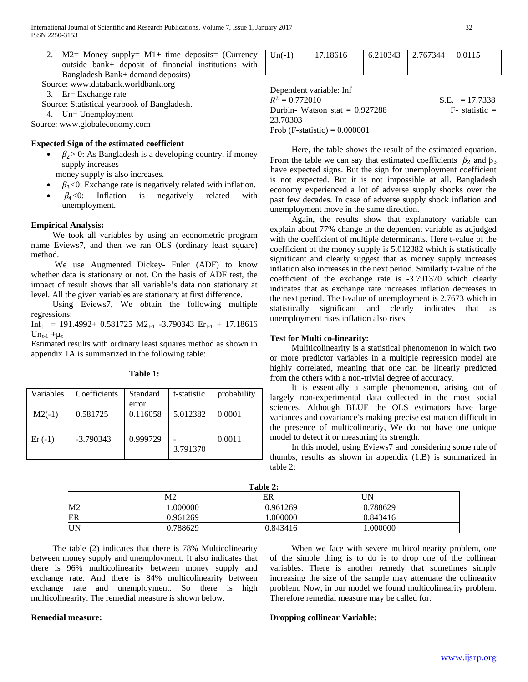- 2. M2= Money supply=  $M1+$  time deposits= (Currency outside bank+ deposit of financial institutions with Bangladesh Bank+ demand deposits)
- Source: www.databank.worldbank.org

3. Er= Exchange rate

Source: Statistical yearbook of Bangladesh.

4. Un= Unemployment

Source: www.globaleconomy.com

### **Expected Sign of the estimated coefficient**

- $\beta_2$  > 0: As Bangladesh is a developing country, if money supply increases
	- money supply is also increases.
- $\beta_3$ <0: Exchange rate is negatively related with inflation.<br> $\beta_4$ <0: Inflation is negatively related with
- $\beta_4$ <0: Inflation is negatively related unemployment.

### **Empirical Analysis:**

 We took all variables by using an econometric program name Eviews7, and then we ran OLS (ordinary least square) method.

 We use Augmented Dickey- Fuler (ADF) to know whether data is stationary or not. On the basis of ADF test, the impact of result shows that all variable's data non stationary at level. All the given variables are stationary at first difference.

 Using Eviews7, We obtain the following multiple regressions:

 $Inf_{t} = 191.4992+ 0.581725 M2_{t-1} -3.790343 E_{t-1} + 17.18616$  $Un_{t-1}$  + $\mu_t$ 

Estimated results with ordinary least squares method as shown in appendix 1A is summarized in the following table:

| Variables | Coefficients | Standard<br>error | t-statistic | probability |
|-----------|--------------|-------------------|-------------|-------------|
| $M2(-1)$  | 0.581725     | 0.116058          | 5.012382    | 0.0001      |
| $Er(-1)$  | $-3.790343$  | 0.999729          | 3.791370    | 0.0011      |

**Table 1:**

| $Un(-1)$ | 17.18616 | $6.210343$   2.767344   0.0115 |  |
|----------|----------|--------------------------------|--|
|          |          |                                |  |

Dependent variable: Inf

 $R^2 = 0.772010$ <br>
Durbin- Watson stat = 0.927288<br>
F- statistic = Durbin- Watson stat  $= 0.927288$ 23.70303 Prob (F-statistic) =  $0.000001$ 

 Here, the table shows the result of the estimated equation. From the table we can say that estimated coefficients  $\beta_2$  and  $\beta_3$ have expected signs. But the sign for unemployment coefficient is not expected. But it is not impossible at all. Bangladesh economy experienced a lot of adverse supply shocks over the past few decades. In case of adverse supply shock inflation and unemployment move in the same direction.

 Again, the results show that explanatory variable can explain about 77% change in the dependent variable as adjudged with the coefficient of multiple determinants. Here t-value of the coefficient of the money supply is 5.012382 which is statistically significant and clearly suggest that as money supply increases inflation also increases in the next period. Similarly t-value of the coefficient of the exchange rate is -3.791370 which clearly indicates that as exchange rate increases inflation decreases in the next period. The t-value of unemployment is 2.7673 which in statistically significant and clearly indicates that as unemployment rises inflation also rises.

### **Test for Multi co-linearity:**

 Muliticolinearity is a statistical phenomenon in which two or more predictor variables in a multiple regression model are highly correlated, meaning that one can be linearly predicted from the others with a non-trivial degree of accuracy.

 It is essentially a sample phenomenon, arising out of largely non-experimental data collected in the most social sciences. Although BLUE the OLS estimators have large variances and covariance's making precise estimation difficult in the presence of multicolineariy, We do not have one unique model to detect it or measuring its strength.

 In this model, using Eviews7 and considering some rule of thumbs, results as shown in appendix (1.B) is summarized in table 2:

| Table 2: |                |          |          |  |
|----------|----------------|----------|----------|--|
|          | M <sub>2</sub> | ER       | UN       |  |
| М2       | .000000        | 0.961269 | 0.788629 |  |
| ER       | 0.961269       | .000000  | 0.843416 |  |
| UN       | 0.788629       | 0.843416 | 1.000000 |  |

 The table (2) indicates that there is 78% Multicolinearity between money supply and unemployment. It also indicates that there is 96% multicolinearity between money supply and exchange rate. And there is 84% multicolinearity between exchange rate and unemployment. So there is high multicolinearity. The remedial measure is shown below.

 When we face with severe multicolinearity problem, one of the simple thing is to do is to drop one of the collinear variables. There is another remedy that sometimes simply increasing the size of the sample may attenuate the colinearity problem. Now, in our model we found multicolinearity problem. Therefore remedial measure may be called for.

### **Remedial measure:**

### **Dropping collinear Variable:**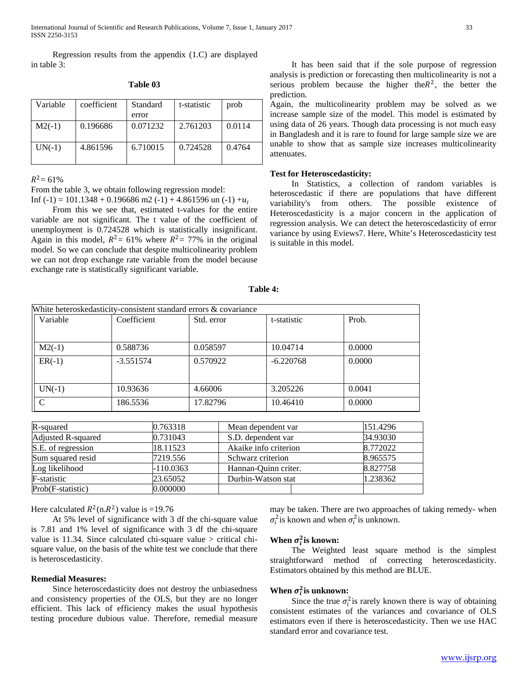Regression results from the appendix (1.C) are displayed in table 3:

| Variable | coefficient | Standard<br>error | t-statistic | prob   |
|----------|-------------|-------------------|-------------|--------|
| $M2(-1)$ | 0.196686    | 0.071232          | 2.761203    | 0.0114 |
| $UN(-1)$ | 4.861596    | 6.710015          | 0.724528    | 0.4764 |

**Table 03**

 $R^2$  = 61%

From the table 3, we obtain following regression model:

Inf (-1) = 101.1348 + 0.196686 m2 (-1) + 4.861596 un (-1) + $u_i$ 

 From this we see that, estimated t-values for the entire variable are not significant. The t value of the coefficient of unemployment is 0.724528 which is statistically insignificant. Again in this model,  $R^2 = 61\%$  where  $R^2 = 77\%$  in the original model. So we can conclude that despite multicolinearity problem we can not drop exchange rate variable from the model because exchange rate is statistically significant variable.

 It has been said that if the sole purpose of regression analysis is prediction or forecasting then multicolinearity is not a serious problem because the higher the  $R^2$ , the better the prediction.

Again, the multicolinearity problem may be solved as we increase sample size of the model. This model is estimated by using data of 26 years. Though data processing is not much easy in Bangladesh and it is rare to found for large sample size we are unable to show that as sample size increases multicolinearity attenuates.

### **Test for Heteroscedasticity:**

 In Statistics, a collection of random variables is heteroscedastic if there are populations that have different variability's from others. The possible existence of Heteroscedasticity is a major concern in the application of regression analysis. We can detect the heteroscedasticity of error variance by using Eviews7. Here, White's Heteroscedasticity test is suitable in this model.

| Variable | Coefficient | Std. error | t-statistic | Prob.  |
|----------|-------------|------------|-------------|--------|
| $M2(-1)$ | 0.588736    | 0.058597   | 10.04714    | 0.0000 |
| $ER(-1)$ | $-3.551574$ | 0.570922   | $-6.220768$ | 0.0000 |
|          |             |            |             |        |
| $UN(-1)$ | 10.93636    | 4.66006    | 3.205226    | 0.0041 |
| C        | 186.5536    | 17.82796   | 10.46410    | 0.0000 |

| able |  |
|------|--|
|------|--|

| R-squared          | 0.763318  | Mean dependent var    | 151.4296 |
|--------------------|-----------|-----------------------|----------|
| Adjusted R-squared | 0.731043  | S.D. dependent var    | 34.93030 |
| S.E. of regression | 18.11523  | Akaike info criterion | 8.772022 |
| Sum squared resid  | 7219.556  | Schwarz criterion     | 8.965575 |
| Log likelihood     | -110.0363 | Hannan-Ouinn criter.  | 8.827758 |
| F-statistic        | 23.65052  | Durbin-Watson stat    | 1.238362 |
| Prob(F-statistic)  | 0.000000  |                       |          |

Here calculated  $R^2(n.R^2)$  value is =19.76

 At 5% level of significance with 3 df the chi-square value is 7.81 and 1% level of significance with 3 df the chi-square value is 11.34. Since calculated chi-square value > critical chisquare value, on the basis of the white test we conclude that there is heteroscedasticity.

#### **Remedial Measures:**

 Since heteroscedasticity does not destroy the unbiasedness and consistency properties of the OLS, but they are no longer efficient. This lack of efficiency makes the usual hypothesis testing procedure dubious value. Therefore, remedial measure

may be taken. There are two approaches of taking remedy- when  $\sigma_i^2$  is known and when  $\sigma_i^2$  is unknown.

# **When**  $\sigma_i^2$  **is known:**

 The Weighted least square method is the simplest straightforward method of correcting heteroscedasticity. Estimators obtained by this method are BLUE.

# **When**  $\sigma_i^2$  **is unknown:**

Since the true  $\sigma_i^2$  is rarely known there is way of obtaining consistent estimates of the variances and covariance of OLS estimators even if there is heteroscedasticity. Then we use HAC standard error and covariance test.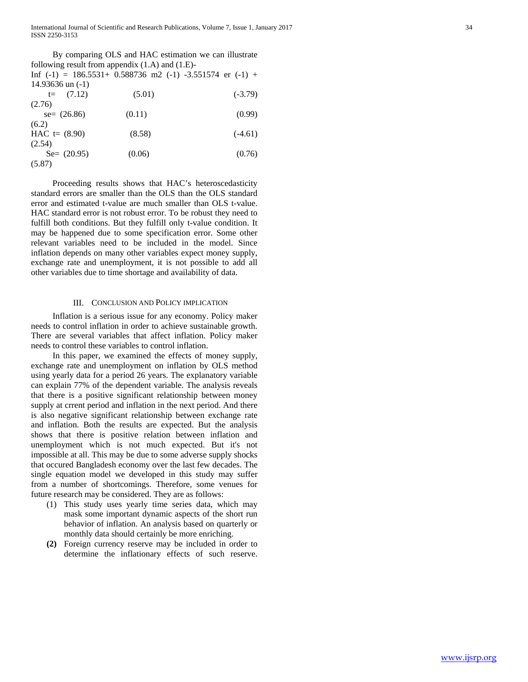International Journal of Scientific and Research Publications, Volume 7, Issue 1, January 2017 34 ISSN 2250-3153

|                    | By comparing OLS and HAC estimation we can illustrate           |           |
|--------------------|-----------------------------------------------------------------|-----------|
|                    | following result from appendix $(1.A)$ and $(1.E)$ -            |           |
|                    | Inf $(-1)$ = 186.5531+ 0.588736 m2 $(-1)$ -3.551574 er $(-1)$ + |           |
| 14.93636 un $(-1)$ |                                                                 |           |
| $t=$ (7.12)        | (5.01)                                                          | $(-3.79)$ |
| (2.76)             |                                                                 |           |
| $se = (26.86)$     | (0.11)                                                          | (0.99)    |
| (6.2)              |                                                                 |           |
| HAC $t = (8.90)$   | (8.58)                                                          | $(-4.61)$ |
| (2.54)             |                                                                 |           |
| $Se=(20.95)$       | (0.06)                                                          | (0.76)    |
| (5.87)             |                                                                 |           |
|                    |                                                                 |           |

 Proceeding results shows that HAC's heteroscedasticity standard errors are smaller than the OLS than the OLS standard error and estimated t-value are much smaller than OLS t-value. HAC standard error is not robust error. To be robust they need to fulfill both conditions. But they fulfill only t-value condition. It may be happened due to some specification error. Some other relevant variables need to be included in the model. Since inflation depends on many other variables expect money supply, exchange rate and unemployment, it is not possible to add all other variables due to time shortage and availability of data.

#### III. CONCLUSION AND POLICY IMPLICATION

 Inflation is a serious issue for any economy. Policy maker needs to control inflation in order to achieve sustainable growth. There are several variables that affect inflation. Policy maker needs to control these variables to control inflation.

 In this paper, we examined the effects of money supply, exchange rate and unemployment on inflation by OLS method using yearly data for a period 26 years. The explanatory variable can explain 77% of the dependent variable. The analysis reveals that there is a positive significant relationship between money supply at crrent period and inflation in the next period. And there is also negative significant relationship between exchange rate and inflation. Both the results are expected. But the analysis shows that there is positive relation between inflation and unemployment which is not much expected. But it's not impossible at all. This may be due to some adverse supply shocks that occured Bangladesh economy over the last few decades. The single equation model we developed in this study may suffer from a number of shortcomings. Therefore, some venues for future research may be considered. They are as follows:

- (1) This study uses yearly time series data, which may mask some important dynamic aspects of the short run behavior of inflation. An analysis based on quarterly or monthly data should certainly be more enriching.
- **(2)** Foreign currency reserve may be included in order to determine the inflationary effects of such reserve.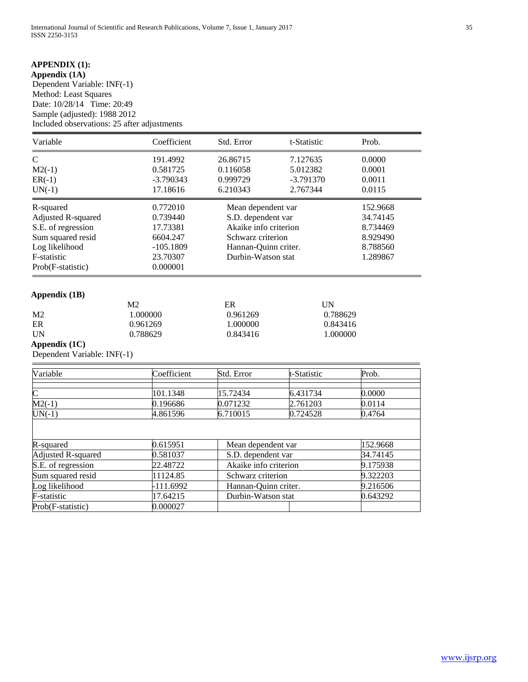# **APPENDIX (1):**

**Appendix (1A)** Dependent Variable: INF(-1) Method: Least Squares Date: 10/28/14 Time: 20:49 Sample (adjusted): 1988 2012 Included observations: 25 after adjustments

| Variable           | Coefficient | Std. Error            | t-Statistic | Prob.    |
|--------------------|-------------|-----------------------|-------------|----------|
| C                  | 191.4992    | 26.86715              | 7.127635    | 0.0000   |
| $M2(-1)$           | 0.581725    | 0.116058              | 5.012382    | 0.0001   |
| $ER(-1)$           | $-3.790343$ | 0.999729              | $-3.791370$ | 0.0011   |
| $UN(-1)$           | 17.18616    | 6.210343              | 2.767344    | 0.0115   |
| R-squared          | 0.772010    | Mean dependent var    |             | 152.9668 |
| Adjusted R-squared | 0.739440    | S.D. dependent var    |             | 34.74145 |
| S.E. of regression | 17.73381    | Akaike info criterion |             | 8.734469 |
| Sum squared resid  | 6604.247    | Schwarz criterion     |             | 8.929490 |
| Log likelihood     | $-105.1809$ | Hannan-Quinn criter.  |             | 8.788560 |
| F-statistic        | 23.70307    | Durbin-Watson stat    |             | 1.289867 |
| Prob(F-statistic)  | 0.000001    |                       |             |          |

# **Appendix (1B)**

|                | M2       | ER       | UN       |
|----------------|----------|----------|----------|
| M <sub>2</sub> | 1.000000 | 0.961269 | 0.788629 |
| ER             | 0.961269 | 1.000000 | 0.843416 |
| UN             | 0.788629 | 0.843416 | 1.000000 |

# **Appendix (1C)**

Dependent Variable: INF(-1)

| Variable           | Coefficient | Std. Error            | t-Statistic | Prob.    |
|--------------------|-------------|-----------------------|-------------|----------|
|                    |             |                       |             |          |
| $\mathsf{C}$       | 101.1348    | 15.72434              | 6.431734    | 0.0000   |
| $M2(-1)$           | 0.196686    | 0.071232              | 2.761203    | 0.0114   |
| $UN(-1)$           | 4.861596    | 6.710015              | 0.724528    | 0.4764   |
|                    |             |                       |             |          |
| R-squared          | 0.615951    | Mean dependent var    |             | 152.9668 |
| Adjusted R-squared | 0.581037    | S.D. dependent var    |             | 34.74145 |
| S.E. of regression | 22.48722    | Akaike info criterion |             | 9.175938 |
| Sum squared resid  | 11124.85    | Schwarz criterion     |             | 9.322203 |
| Log likelihood     | -111.6992   | Hannan-Quinn criter.  |             | 9.216506 |
| F-statistic        | 17.64215    | Durbin-Watson stat    |             | 0.643292 |
| Prob(F-statistic)  | 0.000027    |                       |             |          |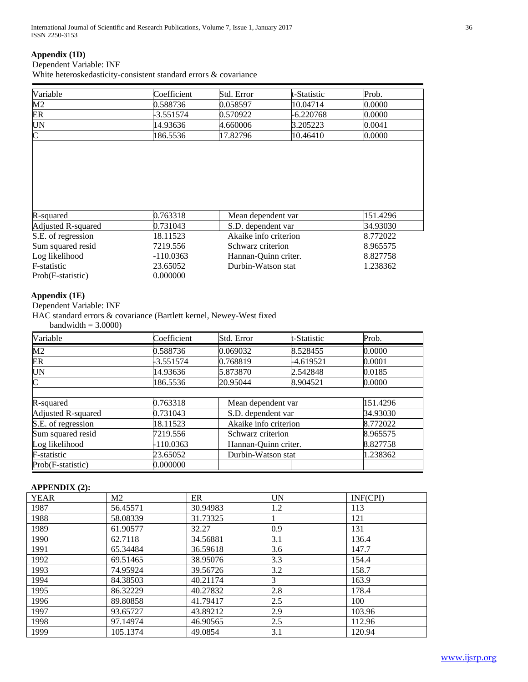# **Appendix (1D)**

### Dependent Variable: INF

White heteroskedasticity-consistent standard errors & covariance

| Variable              | Coefficient | Std. Error         | t-Statistic                    | Prob.    |
|-----------------------|-------------|--------------------|--------------------------------|----------|
| M2                    | 0.588736    | 0.058597           | 10.04714                       | 0.0000   |
| ER                    | 3.551574    | 0.570922           | $-6.220768$                    | 0.0000   |
| <b>UN</b>             | 14.93636    | 4.660006           | 3.205223                       | 0.0041   |
| $\overline{\text{C}}$ | 186.5536    | 17.82796           | 10.46410                       | 0.0000   |
|                       |             |                    |                                |          |
| R-squared             | 0.763318    | Mean dependent var |                                | 151.4296 |
| Adjusted R-squared    | 0.731043    | S.D. dependent var |                                | 34.93030 |
| S.E. of regression    | 18.11523    |                    | Akaike info criterion          |          |
| Sum squared resid     | 7219.556    |                    | Schwarz criterion              |          |
| Log likelihood        | $-110.0363$ |                    | Hannan-Quinn criter.           |          |
| F-statistic           | 23.65052    |                    | Durbin-Watson stat<br>1.238362 |          |
| Prob(F-statistic)     | 0.000000    |                    |                                |          |

# **Appendix (1E)**

Dependent Variable: INF

HAC standard errors & covariance (Bartlett kernel, Newey-West fixed

 $bandwidth = 3.0000$ 

| Variable           | Coefficient | Std. Error            | t-Statistic | Prob.    |
|--------------------|-------------|-----------------------|-------------|----------|
| $\overline{M2}$    | 0.588736    | 0.069032              | 8.528455    | 0.0000   |
| ER                 | $-3.551574$ | 0.768819              | -4.619521   | 0.0001   |
| <b>UN</b>          | 14.93636    | 5.873870              | 2.542848    | 0.0185   |
| $\overline{\rm C}$ | 186.5536    | 20.95044              | 8.904521    | 0.0000   |
|                    |             |                       |             |          |
| R-squared          | 0.763318    | Mean dependent var    |             | 151.4296 |
| Adjusted R-squared | 0.731043    | S.D. dependent var    |             | 34.93030 |
| S.E. of regression | 18.11523    | Akaike info criterion |             | 8.772022 |
| Sum squared resid  | 7219.556    | Schwarz criterion     |             | 8.965575 |
| Log likelihood     | $-110.0363$ | Hannan-Quinn criter.  |             | 8.827758 |
| F-statistic        | 23.65052    | Durbin-Watson stat    |             | 1.238362 |
| Prob(F-statistic)  | 0.000000    |                       |             |          |

### **APPENDIX (2):**

| $\sim$ $\sim$<br><b>YEAR</b> | M <sub>2</sub> | ER       | <b>UN</b> | INF(CPI) |
|------------------------------|----------------|----------|-----------|----------|
| 1987                         | 56.45571       | 30.94983 | 1.2       | 113      |
| 1988                         | 58.08339       | 31.73325 |           | 121      |
| 1989                         | 61.90577       | 32.27    | 0.9       | 131      |
| 1990                         | 62.7118        | 34.56881 | 3.1       | 136.4    |
| 1991                         | 65.34484       | 36.59618 | 3.6       | 147.7    |
| 1992                         | 69.51465       | 38.95076 | 3.3       | 154.4    |
| 1993                         | 74.95924       | 39.56726 | 3.2       | 158.7    |
| 1994                         | 84.38503       | 40.21174 | 3         | 163.9    |
| 1995                         | 86.32229       | 40.27832 | 2.8       | 178.4    |
| 1996                         | 89.80858       | 41.79417 | 2.5       | 100      |
| 1997                         | 93.65727       | 43.89212 | 2.9       | 103.96   |
| 1998                         | 97.14974       | 46.90565 | 2.5       | 112.96   |
| 1999                         | 105.1374       | 49.0854  | 3.1       | 120.94   |